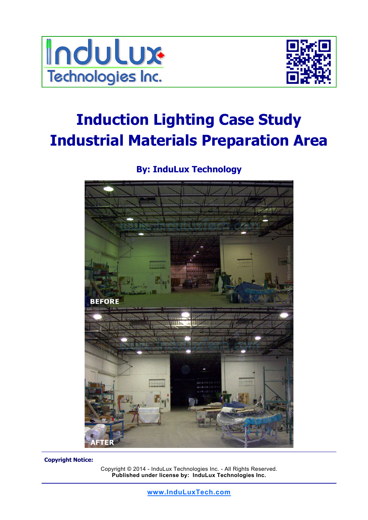



# **Induction Lighting Case Study Industrial Materials Preparation Area**

**By: InduLux Technology** 



**Copyright Notice:** 

Copyright © 2014 - InduLux Technologies Inc. - All Rights Reserved. **Published under license by: InduLux Technologies Inc.**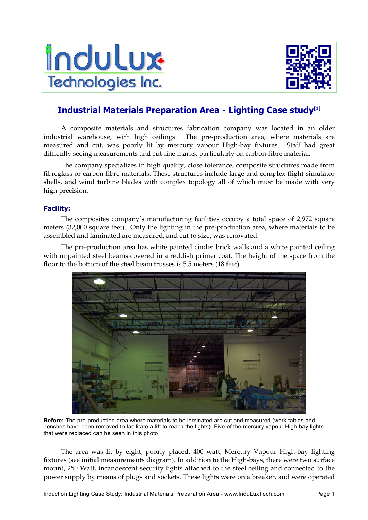



# **Industrial Materials Preparation Area - Lighting Case study[1]**

 A composite materials and structures fabrication company was located in an older industrial warehouse, with high ceilings. The pre-production area, where materials are measured and cut, was poorly lit by mercury vapour High-bay fixtures. Staff had great difficulty seeing measurements and cut-line marks, particularly on carbon-fibre material.

The company specializes in high quality, close tolerance, composite structures made from fibreglass or carbon fibre materials. These structures include large and complex flight simulator shells, and wind turbine blades with complex topology all of which must be made with very high precision.

# **Facility:**

The composites company's manufacturing facilities occupy a total space of 2,972 square meters (32,000 square feet). Only the lighting in the pre-production area, where materials to be assembled and laminated are measured, and cut to size, was renovated.

 The pre-production area has white painted cinder brick walls and a white painted ceiling with unpainted steel beams covered in a reddish primer coat. The height of the space from the floor to the bottom of the steel beam trusses is 5.5 meters (18 feet).



**Before:** The pre-production area where materials to be laminated are cut and measured (work tables and benches have been removed to facilitate a lift to reach the lights). Five of the mercury vapour High-bay lights that were replaced can be seen in this photo.

 The area was lit by eight, poorly placed, 400 watt, Mercury Vapour High-bay lighting fixtures (see initial measurements diagram). In addition to the High-bays, there were two surface mount, 250 Watt, incandescent security lights attached to the steel ceiling and connected to the power supply by means of plugs and sockets. These lights were on a breaker, and were operated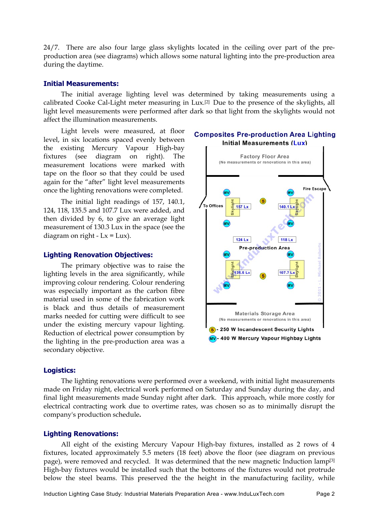24/7. There are also four large glass skylights located in the ceiling over part of the preproduction area (see diagrams) which allows some natural lighting into the pre-production area during the daytime.

#### **Initial Measurements:**

The initial average lighting level was determined by taking measurements using a calibrated Cooke Cal-Light meter measuring in Lux.[2] Due to the presence of the skylights, all light level measurements were performed after dark so that light from the skylights would not affect the illumination measurements.

 Light levels were measured, at floor level, in six locations spaced evenly between the existing Mercury Vapour High-bay fixtures (see diagram on right). The measurement locations were marked with tape on the floor so that they could be used again for the "after" light level measurements once the lighting renovations were completed.

 The initial light readings of 157, 140.1, 124, 118, 135.5 and 107.7 Lux were added, and then divided by 6, to give an average light measurement of 130.3 Lux in the space (see the diagram on right -  $Lx = Lux$ ).

#### **Lighting Renovation Objectives:**

The primary objective was to raise the lighting levels in the area significantly, while improving colour rendering. Colour rendering was especially important as the carbon fibre material used in some of the fabrication work is black and thus details of measurement marks needed for cutting were difficult to see under the existing mercury vapour lighting. Reduction of electrical power consumption by the lighting in the pre-production area was a secondary objective.

#### **Logistics:**

The lighting renovations were performed over a weekend, with initial light measurements made on Friday night, electrical work performed on Saturday and Sunday during the day, and final light measurements made Sunday night after dark. This approach, while more costly for electrical contracting work due to overtime rates, was chosen so as to minimally disrupt the company's production schedule**.** 

#### **Lighting Renovations:**

 All eight of the existing Mercury Vapour High-bay fixtures, installed as 2 rows of 4 fixtures, located approximately 5.5 meters (18 feet) above the floor (see diagram on previous page), were removed and recycled. It was determined that the new magnetic Induction lamp<sup>[3]</sup> High-bay fixtures would be installed such that the bottoms of the fixtures would not protrude below the steel beams. This preserved the the height in the manufacturing facility, while





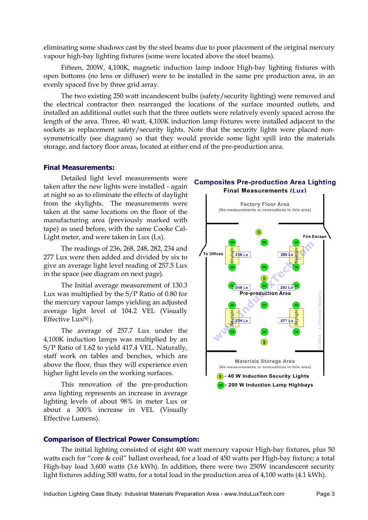eliminating some shadows cast by the steel beams due to poor placement of the original mercury vapour high-bay lighting fixtures (some were located above the steel beams).

 Fifteen, 200W, 4,100K, magnetic induction lamp indoor High-bay lighting fixtures with open bottoms (no lens or diffuser) were to be installed in the same pre production area, in an evenly spaced five by three grid array.

 The two existing 250 watt incandescent bulbs (safety/security lighting) were removed and the electrical contractor then rearranged the locations of the surface mounted outlets, and installed an additional outlet such that the three outlets were relatively evenly spaced across the length of the area. Three, 40 watt, 4,100K induction lamp fixtures were installed adjacent to the sockets as replacement safety/security lights. Note that the security lights were placed nonsymmetrically (see diagram) so that they would provide some light spill into the materials storage, and factory floor areas, located at either end of the pre-production area.

#### **Final Measurements:**

 Detailed light level measurements were taken after the new lights were installed - again at night so as to eliminate the effects of daylight from the skylights. The measurements were taken at the same locations on the floor of the manufacturing area (previously marked with tape) as used before, with the same Cooke Cal-Light meter, and were taken in Lux (Lx).

 The readings of 236, 268, 248, 282, 234 and 277 Lux were then added and divided by six to give an average light level reading of 257.5 Lux in the space (see diagram on next page).

 The Initial average measurement of 130.3 Lux was multiplied by the S/P Ratio of 0.80 for the mercury vapour lamps yielding an adjusted average light level of 104.2 VEL (Visually Effective Lux[4] ).

 The average of 257.7 Lux under the 4,100K induction lamps was multiplied by an S/P Ratio of 1.62 to yield 417.4 VEL. Naturally, staff work on tables and benches, which are above the floor, thus they will experience even higher light levels on the working surfaces.

 This renovation of the pre-production area lighting represents an increase in average lighting levels of about 98% in meter Lux or about a 300% increase in VEL (Visually Effective Lumens).

#### **Composites Pre-production Area Lighting Final Measurements (Lux)**



## **Comparison of Electrical Power Consumption:**

 The initial lighting consisted of eight 400 watt mercury vapour High-bay fixtures, plus 50 watts each for "core & coil" ballast overhead, for a load of 450 watts per High-bay fixture; a total High-bay load 3,600 watts (3.6 kWh). In addition, there were two 250W incandescent security light fixtures adding 500 watts, for a total load in the production area of 4,100 watts (4.1 kWh).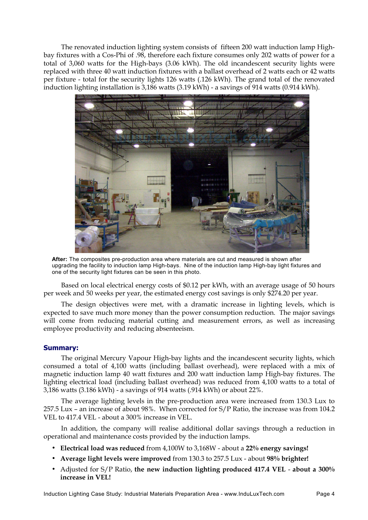The renovated induction lighting system consists of fifteen 200 watt induction lamp Highbay fixtures with a Cos-Phi of .98, therefore each fixture consumes only 202 watts of power for a total of 3,060 watts for the High-bays (3.06 kWh). The old incandescent security lights were replaced with three 40 watt induction fixtures with a ballast overhead of 2 watts each or 42 watts per fixture - total for the security lights 126 watts (.126 kWh). The grand total of the renovated induction lighting installation is 3,186 watts (3.19 kWh) - a savings of 914 watts (0.914 kWh).



**After:** The composites pre-production area where materials are cut and measured is shown after upgrading the facility to induction lamp High-bays. Nine of the induction lamp High-bay light fixtures and one of the security light fixtures can be seen in this photo.

 Based on local electrical energy costs of \$0.12 per kWh, with an average usage of 50 hours per week and 50 weeks per year, the estimated energy cost savings is only \$274.20 per year.

 The design objectives were met, with a dramatic increase in lighting levels, which is expected to save much more money than the power consumption reduction. The major savings will come from reducing material cutting and measurement errors, as well as increasing employee productivity and reducing absenteeism.

## **Summary:**

 The original Mercury Vapour High-bay lights and the incandescent security lights, which consumed a total of 4,100 watts (including ballast overhead), were replaced with a mix of magnetic induction lamp 40 watt fixtures and 200 watt induction lamp High-bay fixtures. The lighting electrical load (including ballast overhead) was reduced from 4,100 watts to a total of 3,186 watts (3.186 kWh) - a savings of 914 watts (.914 kWh) or about 22%.

 The average lighting levels in the pre-production area were increased from 130.3 Lux to 257.5 Lux – an increase of about 98%. When corrected for S/P Ratio, the increase was from 104.2 VEL to 417.4 VEL - about a 300% increase in VEL.

 In addition, the company will realise additional dollar savings through a reduction in operational and maintenance costs provided by the induction lamps.

- **Electrical load was reduced** from 4,100W to 3,168W about a **22% energy savings!**
- **Average light levels were improved** from 130.3 to 257.5 Lux about **98% brighter!**
- Adjusted for S/P Ratio, **the new induction lighting produced 417.4 VEL about a 300% increase in VEL!**